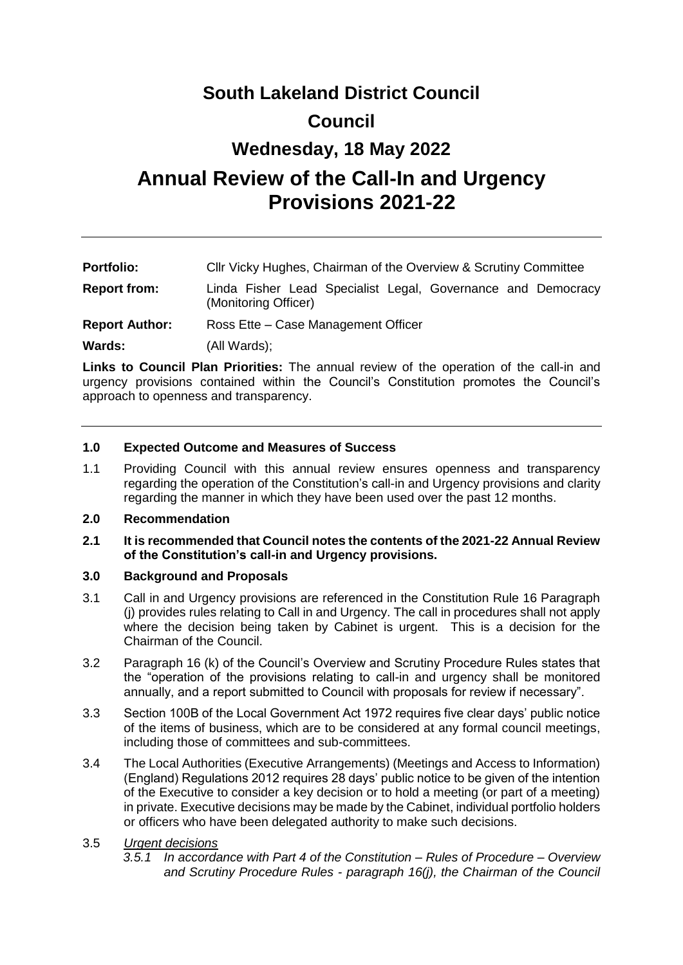# **South Lakeland District Council Council**

# **Wednesday, 18 May 2022**

# **Annual Review of the Call-In and Urgency Provisions 2021-22**

| <b>Portfolio:</b>     | Cllr Vicky Hughes, Chairman of the Overview & Scrutiny Committee                     |
|-----------------------|--------------------------------------------------------------------------------------|
| <b>Report from:</b>   | Linda Fisher Lead Specialist Legal, Governance and Democracy<br>(Monitoring Officer) |
| <b>Report Author:</b> | Ross Ette - Case Management Officer                                                  |
| Wards:                | (All Wards);                                                                         |

**Links to Council Plan Priorities:** The annual review of the operation of the call-in and urgency provisions contained within the Council's Constitution promotes the Council's approach to openness and transparency.

## **1.0 Expected Outcome and Measures of Success**

1.1 Providing Council with this annual review ensures openness and transparency regarding the operation of the Constitution's call-in and Urgency provisions and clarity regarding the manner in which they have been used over the past 12 months.

## **2.0 Recommendation**

**2.1 It is recommended that Council notes the contents of the 2021-22 Annual Review of the Constitution's call-in and Urgency provisions.**

## **3.0 Background and Proposals**

- 3.1 Call in and Urgency provisions are referenced in the Constitution Rule 16 Paragraph (j) provides rules relating to Call in and Urgency. The call in procedures shall not apply where the decision being taken by Cabinet is urgent. This is a decision for the Chairman of the Council.
- 3.2 Paragraph 16 (k) of the Council's Overview and Scrutiny Procedure Rules states that the "operation of the provisions relating to call-in and urgency shall be monitored annually, and a report submitted to Council with proposals for review if necessary".
- 3.3 Section 100B of the Local Government Act 1972 requires five clear days' public notice of the items of business, which are to be considered at any formal council meetings, including those of committees and sub-committees.
- 3.4 The Local Authorities (Executive Arrangements) (Meetings and Access to Information) (England) Regulations 2012 requires 28 days' public notice to be given of the intention of the Executive to consider a key decision or to hold a meeting (or part of a meeting) in private. Executive decisions may be made by the Cabinet, individual portfolio holders or officers who have been delegated authority to make such decisions.

## 3.5 *Urgent decisions*

*3.5.1 In accordance with Part 4 of the Constitution – Rules of Procedure – Overview and Scrutiny Procedure Rules - paragraph 16(j), the Chairman of the Council*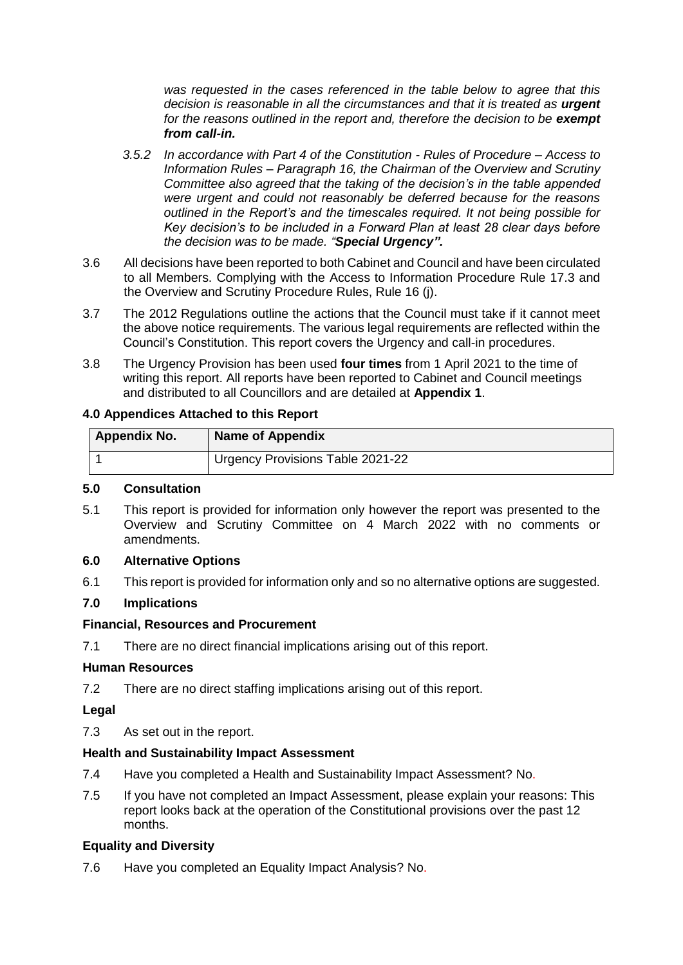*was requested in the cases referenced in the table below to agree that this decision is reasonable in all the circumstances and that it is treated as urgent for the reasons outlined in the report and, therefore the decision to be exempt from call-in.*

- *3.5.2 In accordance with Part 4 of the Constitution - Rules of Procedure – Access to Information Rules – Paragraph 16, the Chairman of the Overview and Scrutiny Committee also agreed that the taking of the decision's in the table appended were urgent and could not reasonably be deferred because for the reasons outlined in the Report's and the timescales required. It not being possible for Key decision's to be included in a Forward Plan at least 28 clear days before the decision was to be made. "Special Urgency".*
- 3.6 All decisions have been reported to both Cabinet and Council and have been circulated to all Members. Complying with the Access to Information Procedure Rule 17.3 and the Overview and Scrutiny Procedure Rules, Rule 16 (j).
- 3.7 The 2012 Regulations outline the actions that the Council must take if it cannot meet the above notice requirements. The various legal requirements are reflected within the Council's Constitution. This report covers the Urgency and call-in procedures.
- 3.8 The Urgency Provision has been used **four times** from 1 April 2021 to the time of writing this report. All reports have been reported to Cabinet and Council meetings and distributed to all Councillors and are detailed at **Appendix 1**.

## **4.0 Appendices Attached to this Report**

| <b>Appendix No.</b> | <b>Name of Appendix</b>          |
|---------------------|----------------------------------|
|                     | Urgency Provisions Table 2021-22 |

## **5.0 Consultation**

5.1 This report is provided for information only however the report was presented to the Overview and Scrutiny Committee on 4 March 2022 with no comments or amendments.

## **6.0 Alternative Options**

6.1 This report is provided for information only and so no alternative options are suggested.

## **7.0 Implications**

## **Financial, Resources and Procurement**

7.1 There are no direct financial implications arising out of this report.

## **Human Resources**

7.2 There are no direct staffing implications arising out of this report.

## **Legal**

7.3 As set out in the report.

## **Health and Sustainability Impact Assessment**

- 7.4 Have you completed a Health and Sustainability Impact Assessment? No.
- 7.5 If you have not completed an Impact Assessment, please explain your reasons: This report looks back at the operation of the Constitutional provisions over the past 12 months.

## **Equality and Diversity**

7.6 Have you completed an Equality Impact Analysis? No.